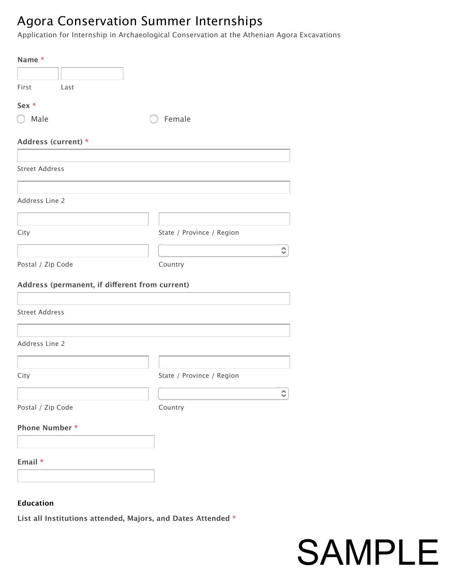### Agora Conservation Summer Internships

Application for Internship in Archaeological Conservation at the Athenian Agora Excavations

| Name*                                          |                           |
|------------------------------------------------|---------------------------|
|                                                |                           |
| First<br>Last                                  |                           |
| Sex *                                          |                           |
| $\bigcirc$ Male                                | Female                    |
| Address (current) *                            |                           |
|                                                |                           |
| <b>Street Address</b>                          |                           |
|                                                |                           |
| Address Line 2                                 |                           |
|                                                |                           |
| City                                           | State / Province / Region |
|                                                | ≎                         |
| Postal / Zip Code                              | Country                   |
| Address (permanent, if different from current) |                           |
|                                                |                           |
| <b>Street Address</b>                          |                           |
|                                                |                           |
| Address Line 2                                 |                           |
|                                                |                           |
| City                                           | State / Province / Region |
|                                                | ≎                         |
| Postal / Zip Code                              | Country                   |
| <b>Phone Number*</b>                           |                           |
|                                                |                           |
| Email *                                        |                           |
|                                                |                           |
|                                                |                           |
| <b>Education</b>                               |                           |

**List all Institutions attended, Majors, and Dates Attended \***

SAMPLE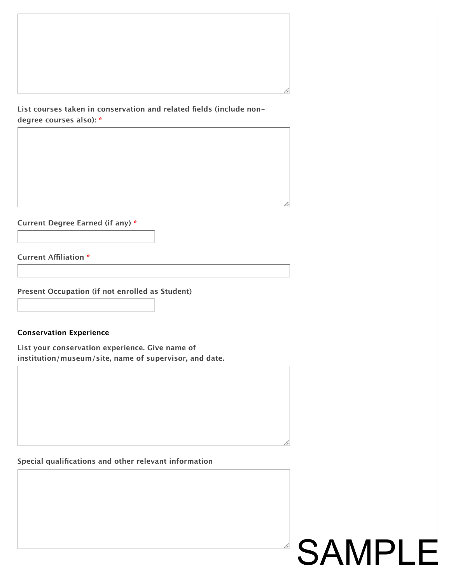#### **List courses taken in conservation and related fields (include nondegree courses also): \***

**Current Degree Earned (if any) \***

**Current Afliation \***

**Present Occupation (if not enrolled as Student)**

#### **Conservation Experience**

**List your conservation experience. Give name of institution/museum/site, name of supervisor, and date.**

#### **Special qualifications and other relevant information**

## SAMPLE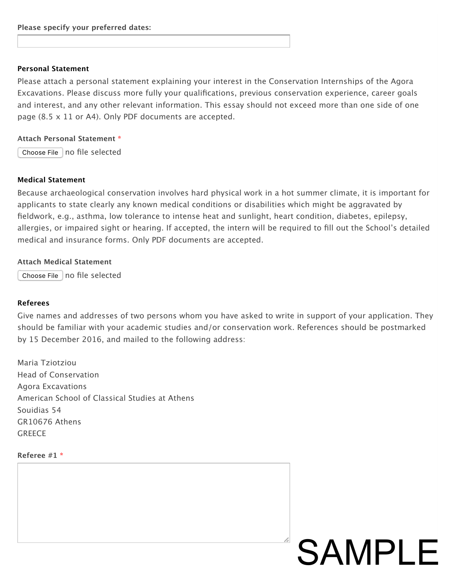#### **Personal Statement**

Please attach a personal statement explaining your interest in the Conservation Internships of the Agora Excavations. Please discuss more fully your qualifications, previous conservation experience, career goals and interest, and any other relevant information. This essay should not exceed more than one side of one page (8.5 x 11 or A4). Only PDF documents are accepted.

#### **Attach Personal Statement \***

Choose File  $|$  no file selected

#### **Medical Statement**

Because archaeological conservation involves hard physical work in a hot summer climate, it is important for applicants to state clearly any known medical conditions or disabilities which might be aggravated by fieldwork, e.g., asthma, low tolerance to intense heat and sunlight, heart condition, diabetes, epilepsy, allergies, or impaired sight or hearing. If accepted, the intern will be required to fill out the School's detailed medical and insurance forms. Only PDF documents are accepted.

#### **Attach Medical Statement**

Choose File no file selected

#### **Referees**

Give names and addresses of two persons whom you have asked to write in support of your application. They should be familiar with your academic studies and/or conservation work. References should be postmarked by 15 December 2016, and mailed to the following address:

SAMPLE

Maria Tziotziou Head of Conservation Agora Excavations American School of Classical Studies at Athens Souidias 54 GR10676 Athens **GREECE** 

#### **Referee #1 \***

| ,一个人都是一个人的人,就是一个人的人,就是一个人的人,就是一个人的人,就是一个人的人,就是一个人的人,就是一个人的人,就是一个人的人,就是一个人的人,就是一个人 |  |  |
|-----------------------------------------------------------------------------------|--|--|
|                                                                                   |  |  |
|                                                                                   |  |  |
|                                                                                   |  |  |
|                                                                                   |  |  |
|                                                                                   |  |  |
|                                                                                   |  |  |
|                                                                                   |  |  |
|                                                                                   |  |  |
|                                                                                   |  |  |
|                                                                                   |  |  |
|                                                                                   |  |  |
|                                                                                   |  |  |
|                                                                                   |  |  |
|                                                                                   |  |  |
|                                                                                   |  |  |
|                                                                                   |  |  |
|                                                                                   |  |  |
|                                                                                   |  |  |
|                                                                                   |  |  |
|                                                                                   |  |  |
|                                                                                   |  |  |
|                                                                                   |  |  |
|                                                                                   |  |  |
|                                                                                   |  |  |
|                                                                                   |  |  |
|                                                                                   |  |  |
|                                                                                   |  |  |
|                                                                                   |  |  |
|                                                                                   |  |  |
|                                                                                   |  |  |
|                                                                                   |  |  |
|                                                                                   |  |  |
|                                                                                   |  |  |
|                                                                                   |  |  |
|                                                                                   |  |  |
|                                                                                   |  |  |
|                                                                                   |  |  |
|                                                                                   |  |  |
|                                                                                   |  |  |
|                                                                                   |  |  |
|                                                                                   |  |  |
|                                                                                   |  |  |
|                                                                                   |  |  |
|                                                                                   |  |  |
|                                                                                   |  |  |
|                                                                                   |  |  |
|                                                                                   |  |  |
|                                                                                   |  |  |
|                                                                                   |  |  |
|                                                                                   |  |  |
|                                                                                   |  |  |
|                                                                                   |  |  |
|                                                                                   |  |  |
|                                                                                   |  |  |
|                                                                                   |  |  |
|                                                                                   |  |  |
|                                                                                   |  |  |
|                                                                                   |  |  |
|                                                                                   |  |  |
|                                                                                   |  |  |
|                                                                                   |  |  |
|                                                                                   |  |  |
|                                                                                   |  |  |
|                                                                                   |  |  |
|                                                                                   |  |  |
|                                                                                   |  |  |
|                                                                                   |  |  |
|                                                                                   |  |  |
|                                                                                   |  |  |
|                                                                                   |  |  |
|                                                                                   |  |  |
|                                                                                   |  |  |
|                                                                                   |  |  |
|                                                                                   |  |  |
|                                                                                   |  |  |
|                                                                                   |  |  |
|                                                                                   |  |  |
|                                                                                   |  |  |
|                                                                                   |  |  |
|                                                                                   |  |  |
|                                                                                   |  |  |
|                                                                                   |  |  |
|                                                                                   |  |  |
|                                                                                   |  |  |
|                                                                                   |  |  |
|                                                                                   |  |  |
|                                                                                   |  |  |